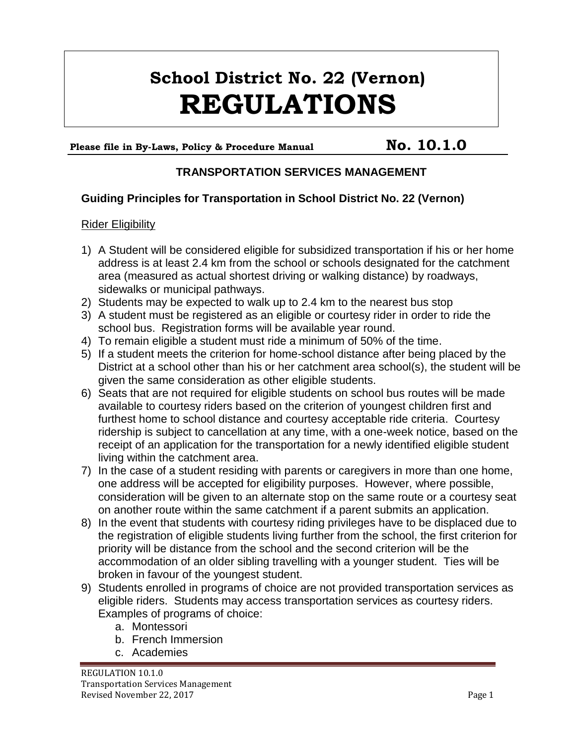# **School District No. 22 (Vernon) REGULATIONS**

## Please file in By-Laws, Policy & Procedure Manual **No. 10.1.0**

### **TRANSPORTATION SERVICES MANAGEMENT**

#### **Guiding Principles for Transportation in School District No. 22 (Vernon)**

#### Rider Eligibility

- 1) A Student will be considered eligible for subsidized transportation if his or her home address is at least 2.4 km from the school or schools designated for the catchment area (measured as actual shortest driving or walking distance) by roadways, sidewalks or municipal pathways.
- 2) Students may be expected to walk up to 2.4 km to the nearest bus stop
- 3) A student must be registered as an eligible or courtesy rider in order to ride the school bus. Registration forms will be available year round.
- 4) To remain eligible a student must ride a minimum of 50% of the time.
- 5) If a student meets the criterion for home-school distance after being placed by the District at a school other than his or her catchment area school(s), the student will be given the same consideration as other eligible students.
- 6) Seats that are not required for eligible students on school bus routes will be made available to courtesy riders based on the criterion of youngest children first and furthest home to school distance and courtesy acceptable ride criteria. Courtesy ridership is subject to cancellation at any time, with a one-week notice, based on the receipt of an application for the transportation for a newly identified eligible student living within the catchment area.
- 7) In the case of a student residing with parents or caregivers in more than one home, one address will be accepted for eligibility purposes. However, where possible, consideration will be given to an alternate stop on the same route or a courtesy seat on another route within the same catchment if a parent submits an application.
- 8) In the event that students with courtesy riding privileges have to be displaced due to the registration of eligible students living further from the school, the first criterion for priority will be distance from the school and the second criterion will be the accommodation of an older sibling travelling with a younger student. Ties will be broken in favour of the youngest student.
- 9) Students enrolled in programs of choice are not provided transportation services as eligible riders. Students may access transportation services as courtesy riders. Examples of programs of choice:
	- a. Montessori
	- b. French Immersion
	- c. Academies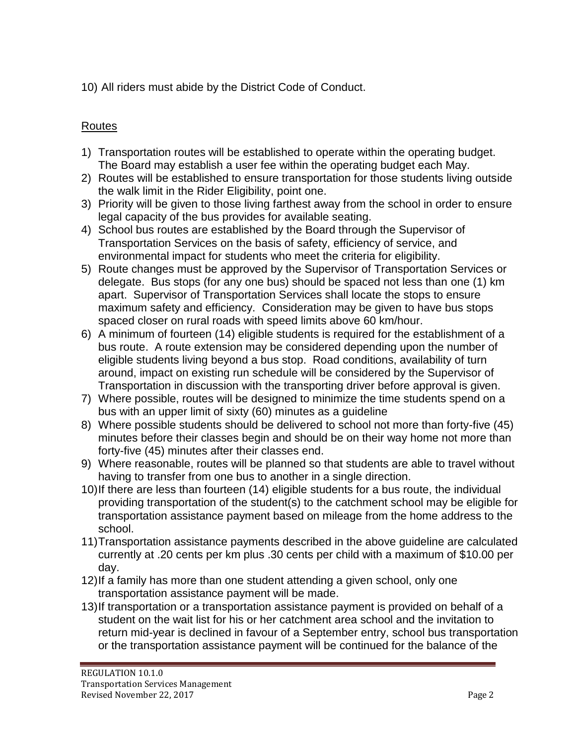10) All riders must abide by the District Code of Conduct.

## Routes

- 1) Transportation routes will be established to operate within the operating budget. The Board may establish a user fee within the operating budget each May.
- 2) Routes will be established to ensure transportation for those students living outside the walk limit in the Rider Eligibility, point one.
- 3) Priority will be given to those living farthest away from the school in order to ensure legal capacity of the bus provides for available seating.
- 4) School bus routes are established by the Board through the Supervisor of Transportation Services on the basis of safety, efficiency of service, and environmental impact for students who meet the criteria for eligibility.
- 5) Route changes must be approved by the Supervisor of Transportation Services or delegate. Bus stops (for any one bus) should be spaced not less than one (1) km apart. Supervisor of Transportation Services shall locate the stops to ensure maximum safety and efficiency. Consideration may be given to have bus stops spaced closer on rural roads with speed limits above 60 km/hour.
- 6) A minimum of fourteen (14) eligible students is required for the establishment of a bus route. A route extension may be considered depending upon the number of eligible students living beyond a bus stop. Road conditions, availability of turn around, impact on existing run schedule will be considered by the Supervisor of Transportation in discussion with the transporting driver before approval is given.
- 7) Where possible, routes will be designed to minimize the time students spend on a bus with an upper limit of sixty (60) minutes as a guideline
- 8) Where possible students should be delivered to school not more than forty-five (45) minutes before their classes begin and should be on their way home not more than forty-five (45) minutes after their classes end.
- 9) Where reasonable, routes will be planned so that students are able to travel without having to transfer from one bus to another in a single direction.
- 10)If there are less than fourteen (14) eligible students for a bus route, the individual providing transportation of the student(s) to the catchment school may be eligible for transportation assistance payment based on mileage from the home address to the school.
- 11)Transportation assistance payments described in the above guideline are calculated currently at .20 cents per km plus .30 cents per child with a maximum of \$10.00 per day.
- 12)If a family has more than one student attending a given school, only one transportation assistance payment will be made.
- 13)If transportation or a transportation assistance payment is provided on behalf of a student on the wait list for his or her catchment area school and the invitation to return mid-year is declined in favour of a September entry, school bus transportation or the transportation assistance payment will be continued for the balance of the